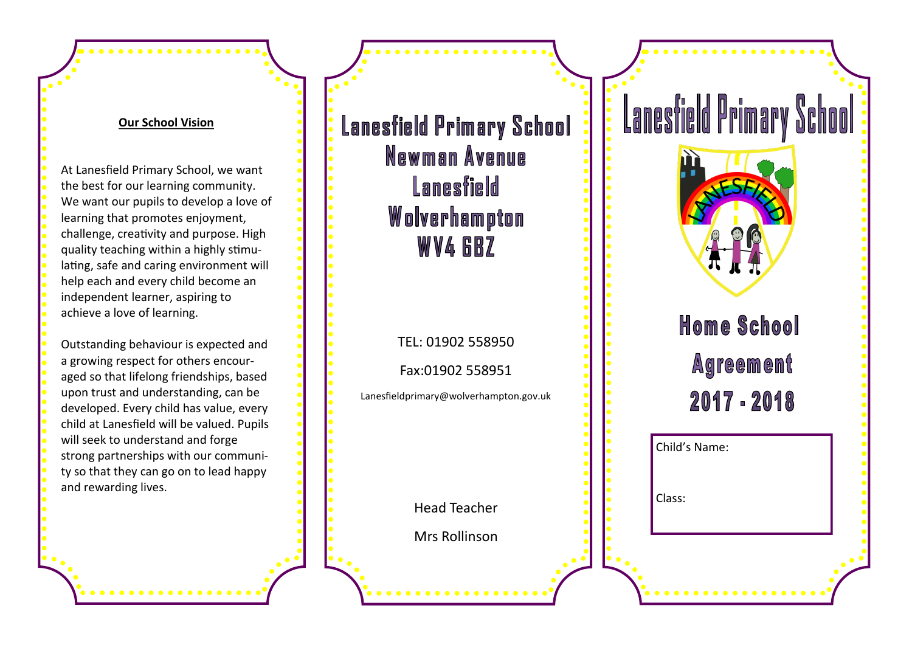## **Our School Vision**

At Lanesfield Primary School, we want the best for our learning community. We want our pupils to develop a love of learning that promotes enjoyment, challenge, creativity and purpose. High quality teaching within a highly stimulating, safe and caring environment will help each and every child become an independent learner, aspiring to achieve a love of learning.

Outstanding behaviour is expected and a growing respect for others encouraged so that lifelong friendships, based upon trust and understanding, can be developed. Every child has value, every child at Lanesfield will be valued. Pupils will seek to understand and forge strong partnerships with our community so that they can go on to lead happy and rewarding lives.

**Lanesfield Primary School** Newman Avenue Lanesfield Wolverhampton **WV4 GBZ** 

TEL: 01902 558950

Fax:01902 558951

Lanesfieldprimary@wolverhampton.gov.uk

Head Teacher

Mrs Rollinson

**Home School Agreement** 2017 - 2018

**Lanesfield Primary School** 

Child's Name:

Class: